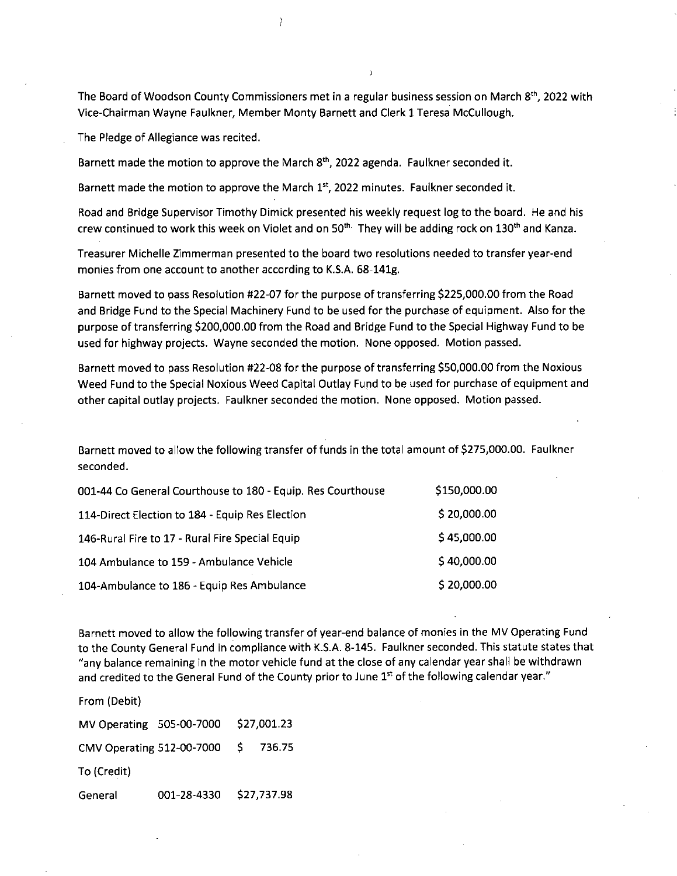The Board of Woodson County Commissioners met in a regular business session on March 8<sup>th</sup>, 2022 with Vice-Chairman Wayne Faulkner, Member Monty Barnett and Clerk 1 Teresa McCullough.

The Pledge of Allegiance was recited.

Barnett made the motion to approve the March  $8<sup>th</sup>$ , 2022 agenda. Faulkner seconded it.

Barnett made the motion to approve the March  $1<sup>st</sup>$ , 2022 minutes. Faulkner seconded it.

Road and Bridge Supervisor Timothy Dimick presented his weekly request log to the board. He and his crew continued to work this week on Violet and on  $50<sup>th</sup>$ . They will be adding rock on  $130<sup>th</sup>$  and Kanza.

Treasurer Michelle Zimmerman presented to the board two resolutions needed to transfer year-end monies from one account to another according to K.S.A. 68-141g.

Barnett moved to pass Resolution #22-07 for the purpose of transferring \$225,000.00 from the Road and Bridge Fund to the Special Machinery Fund to be used for the purchase of equipment. Also for the purpose of transferring \$200,000.00 from the Road and Bridge Fund to the Special Highway Fund to be used for highway projects. Wayne seconded the motion. None opposed. Motion passed.

Barnett moved to pass Resolution #22-08 for the purpose of transferring \$50,000.00 from the Noxious Weed Fund to the Special Noxious Weed Capital Outlay Fund to be used for purchase of equipment and other capital outlay projects. Faulkner seconded the motion. None opposed. Motion passed.

Barnett moved to allow the following transfer of funds in the total amount of \$275,000.00. Faulkner seconded.

| 001-44 Co General Courthouse to 180 - Equip. Res Courthouse | \$150,000.00 |
|-------------------------------------------------------------|--------------|
| 114-Direct Election to 184 - Equip Res Election             | \$20,000.00  |
| 146-Rural Fire to 17 - Rural Fire Special Equip             | \$45,000.00  |
| 104 Ambulance to 159 - Ambulance Vehicle                    | \$40,000.00  |
| 104-Ambulance to 186 - Equip Res Ambulance                  | \$20,000.00  |

Barnett moved to allow the following transfer of year-end balance of monies in the MV Operating Fund to the County General Fund in compliance with K.S.A. 8-145. Faulkner seconded. This statute states that "any balance remaining in the motor vehicle fund at the close of any calendar year shall be withdrawn and credited to the General Fund of the County prior to June 1<sup>st</sup> of the following calendar year."

From (Debit)

MV Operating 505-00-7000 \$27,001.23 CMV Operating 512-00-7000 \$ 736.75 To (Credit) General 001-28-4330 \$27,737.98